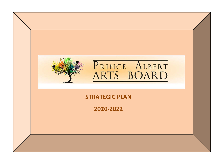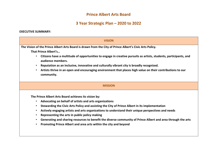## **Prince Albert Arts Board**

## **3 Year Strategic Plan – 2020 to 2022**

## **EXECUTIVE SUMMARY:**

| <b>VISION</b>                                                                                                                                                                                                                                                                                                                                                                                                                                                                                                                                                                                                                |  |  |  |  |  |
|------------------------------------------------------------------------------------------------------------------------------------------------------------------------------------------------------------------------------------------------------------------------------------------------------------------------------------------------------------------------------------------------------------------------------------------------------------------------------------------------------------------------------------------------------------------------------------------------------------------------------|--|--|--|--|--|
| The Vision of the Prince Albert Arts Board is drawn from the City of Prince Albert's Civic Arts Policy.<br>That Prince Albert's<br>Citizens have a multitude of opportunities to engage in creative pursuits as artists, students, participants, and<br>audience members.<br>Reputation as an inclusive, innovative and culturally vibrant city is broadly recognized.<br>Artists thrive in an open and encouraging environment that places high value on their contributions to our<br>community.                                                                                                                           |  |  |  |  |  |
| <b>MISSION</b>                                                                                                                                                                                                                                                                                                                                                                                                                                                                                                                                                                                                               |  |  |  |  |  |
| The Prince Albert Arts Board achieves its vision by:<br>Advocating on behalf of artists and arts organizations<br>$\bullet$<br>Stewarding the Civic Arts Policy and assisting the City of Prince Albert in its implementation<br>$\bullet$<br>Actively engaging artists and arts organizations to understand their unique perspectives and needs<br>$\bullet$<br>Representing the arts in public policy making<br>$\bullet$<br>Generating and sharing resources to benefit the diverse community of Prince Albert and area through the arts<br>Promoting Prince Albert and area arts within the city and beyond<br>$\bullet$ |  |  |  |  |  |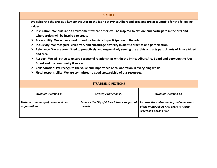| <b>VALUES</b>                                                                                                                                                        |                                                            |                                                                                                                 |  |  |  |  |
|----------------------------------------------------------------------------------------------------------------------------------------------------------------------|------------------------------------------------------------|-----------------------------------------------------------------------------------------------------------------|--|--|--|--|
| We celebrate the arts as a key contributor to the fabric of Prince Albert and area and are accountable for the following                                             |                                                            |                                                                                                                 |  |  |  |  |
| values:                                                                                                                                                              |                                                            |                                                                                                                 |  |  |  |  |
| $\times$ Inspiration: We nurture an environment where others will be inspired to explore and participate in the arts and<br>where artists will be inspired to create |                                                            |                                                                                                                 |  |  |  |  |
| $\times$ Accessibility: We actively work to reduce barriers to participation in the arts                                                                             |                                                            |                                                                                                                 |  |  |  |  |
| Inclusivity: We recognize, celebrate, and encourage diversity in artistic practice and participation<br>$\blacksquare$                                               |                                                            |                                                                                                                 |  |  |  |  |
| Relevance: We are committed to proactively and responsively serving the artists and arts participants of Prince Albert<br>$\blacksquare$<br>and area                 |                                                            |                                                                                                                 |  |  |  |  |
| $\times$ Respect: We will strive to ensure respectful relationships within the Prince Albert Arts Board and between the Arts<br>Board and the community it serves    |                                                            |                                                                                                                 |  |  |  |  |
| $\times$ Collaboration: We recognize the value and importance of collaboration in everything we do.                                                                  |                                                            |                                                                                                                 |  |  |  |  |
| Fiscal responsibility: We are committed to good stewardship of our resources.<br>×                                                                                   |                                                            |                                                                                                                 |  |  |  |  |
| <b>STRATEGIC DIRECTIONS</b>                                                                                                                                          |                                                            |                                                                                                                 |  |  |  |  |
| <b>Strategic Direction #1</b>                                                                                                                                        | <b>Strategic Direction #2</b>                              | <b>Strategic Direction #3</b>                                                                                   |  |  |  |  |
| Foster a community of artists and arts<br>organizations                                                                                                              | Enhance the City of Prince Albert's support of<br>the arts | Increase the understanding and awareness<br>of the Prince Albert Arts Board in Prince<br>Albert and beyond (CS) |  |  |  |  |